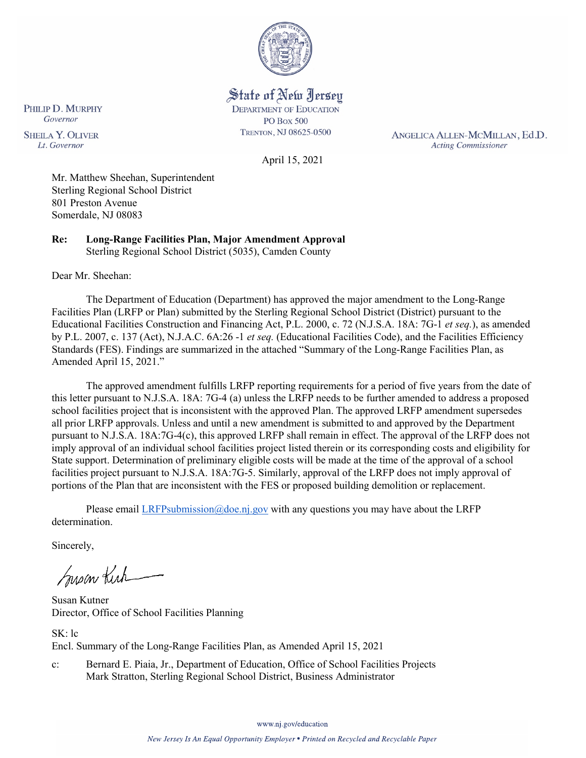

State of New Jersey **DEPARTMENT OF EDUCATION PO Box 500** TRENTON, NJ 08625-0500

April 15, 2021

ANGELICA ALLEN-MCMILLAN, Ed.D. **Acting Commissioner** 

Governor **SHEILA Y. OLIVER** Lt. Governor

PHILIP D. MURPHY

Mr. Matthew Sheehan, Superintendent Sterling Regional School District 801 Preston Avenue

**Re: Long-Range Facilities Plan, Major Amendment Approval**  Sterling Regional School District (5035), Camden County

Dear Mr. Sheehan:

Somerdale, NJ 08083

The Department of Education (Department) has approved the major amendment to the Long-Range Facilities Plan (LRFP or Plan) submitted by the Sterling Regional School District (District) pursuant to the Educational Facilities Construction and Financing Act, P.L. 2000, c. 72 (N.J.S.A. 18A: 7G-1 *et seq.*), as amended by P.L. 2007, c. 137 (Act), N.J.A.C. 6A:26 -1 *et seq.* (Educational Facilities Code), and the Facilities Efficiency Standards (FES). Findings are summarized in the attached "Summary of the Long-Range Facilities Plan, as Amended April 15, 2021."

The approved amendment fulfills LRFP reporting requirements for a period of five years from the date of this letter pursuant to N.J.S.A. 18A: 7G-4 (a) unless the LRFP needs to be further amended to address a proposed school facilities project that is inconsistent with the approved Plan. The approved LRFP amendment supersedes all prior LRFP approvals. Unless and until a new amendment is submitted to and approved by the Department pursuant to N.J.S.A. 18A:7G-4(c), this approved LRFP shall remain in effect. The approval of the LRFP does not imply approval of an individual school facilities project listed therein or its corresponding costs and eligibility for State support. Determination of preliminary eligible costs will be made at the time of the approval of a school facilities project pursuant to N.J.S.A. 18A:7G-5. Similarly, approval of the LRFP does not imply approval of portions of the Plan that are inconsistent with the FES or proposed building demolition or replacement.

Please email [LRFPsubmission@doe.nj.gov](mailto:LRFPsubmission@doe.nj.gov) with any questions you may have about the LRFP determination.

Sincerely,

Susan Kich

Susan Kutner Director, Office of School Facilities Planning

SK: lc Encl. Summary of the Long-Range Facilities Plan, as Amended April 15, 2021

c: Bernard E. Piaia, Jr., Department of Education, Office of School Facilities Projects Mark Stratton, Sterling Regional School District, Business Administrator

www.nj.gov/education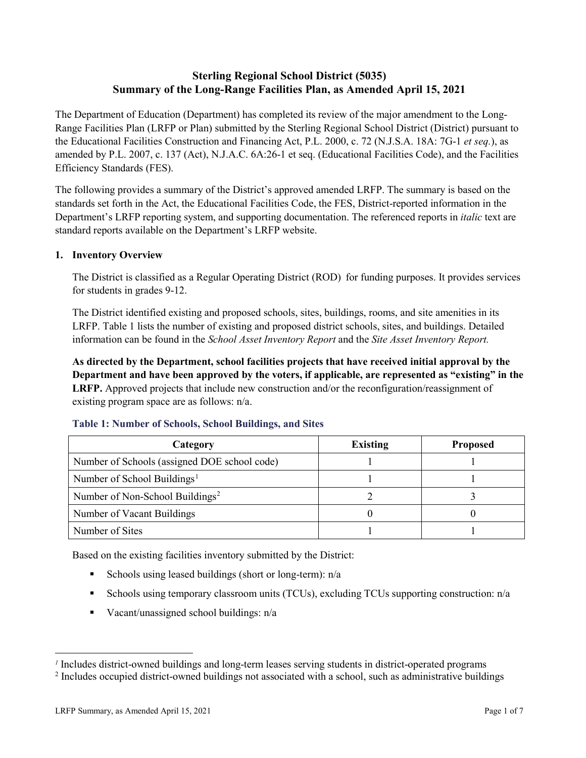# **Sterling Regional School District (5035) Summary of the Long-Range Facilities Plan, as Amended April 15, 2021**

The Department of Education (Department) has completed its review of the major amendment to the Long-Range Facilities Plan (LRFP or Plan) submitted by the Sterling Regional School District (District) pursuant to the Educational Facilities Construction and Financing Act, P.L. 2000, c. 72 (N.J.S.A. 18A: 7G-1 *et seq.*), as amended by P.L. 2007, c. 137 (Act), N.J.A.C. 6A:26-1 et seq. (Educational Facilities Code), and the Facilities Efficiency Standards (FES).

The following provides a summary of the District's approved amended LRFP. The summary is based on the standards set forth in the Act, the Educational Facilities Code, the FES, District-reported information in the Department's LRFP reporting system, and supporting documentation. The referenced reports in *italic* text are standard reports available on the Department's LRFP website.

#### **1. Inventory Overview**

The District is classified as a Regular Operating District (ROD) for funding purposes. It provides services for students in grades 9-12.

The District identified existing and proposed schools, sites, buildings, rooms, and site amenities in its LRFP. Table 1 lists the number of existing and proposed district schools, sites, and buildings. Detailed information can be found in the *School Asset Inventory Report* and the *Site Asset Inventory Report.*

**As directed by the Department, school facilities projects that have received initial approval by the Department and have been approved by the voters, if applicable, are represented as "existing" in the LRFP.** Approved projects that include new construction and/or the reconfiguration/reassignment of existing program space are as follows: n/a.

| Category                                     | <b>Existing</b> | <b>Proposed</b> |
|----------------------------------------------|-----------------|-----------------|
| Number of Schools (assigned DOE school code) |                 |                 |
| Number of School Buildings <sup>1</sup>      |                 |                 |
| Number of Non-School Buildings <sup>2</sup>  |                 |                 |
| Number of Vacant Buildings                   |                 |                 |
| Number of Sites                              |                 |                 |

#### **Table 1: Number of Schools, School Buildings, and Sites**

Based on the existing facilities inventory submitted by the District:

- Schools using leased buildings (short or long-term):  $n/a$
- Schools using temporary classroom units (TCUs), excluding TCUs supporting construction: n/a
- Vacant/unassigned school buildings:  $n/a$

 $\overline{a}$ 

<span id="page-1-1"></span><span id="page-1-0"></span>*<sup>1</sup>* Includes district-owned buildings and long-term leases serving students in district-operated programs

<sup>&</sup>lt;sup>2</sup> Includes occupied district-owned buildings not associated with a school, such as administrative buildings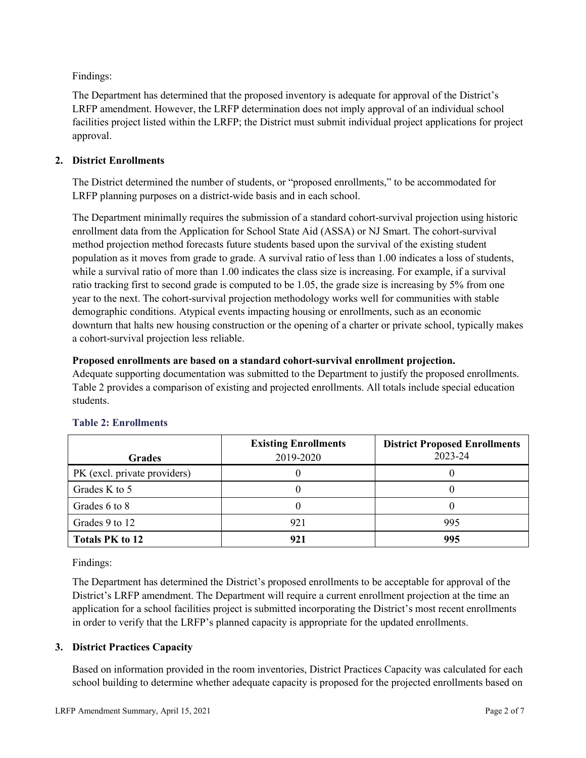Findings:

The Department has determined that the proposed inventory is adequate for approval of the District's LRFP amendment. However, the LRFP determination does not imply approval of an individual school facilities project listed within the LRFP; the District must submit individual project applications for project approval.

# **2. District Enrollments**

The District determined the number of students, or "proposed enrollments," to be accommodated for LRFP planning purposes on a district-wide basis and in each school.

The Department minimally requires the submission of a standard cohort-survival projection using historic enrollment data from the Application for School State Aid (ASSA) or NJ Smart. The cohort-survival method projection method forecasts future students based upon the survival of the existing student population as it moves from grade to grade. A survival ratio of less than 1.00 indicates a loss of students, while a survival ratio of more than 1.00 indicates the class size is increasing. For example, if a survival ratio tracking first to second grade is computed to be 1.05, the grade size is increasing by 5% from one year to the next. The cohort-survival projection methodology works well for communities with stable demographic conditions. Atypical events impacting housing or enrollments, such as an economic downturn that halts new housing construction or the opening of a charter or private school, typically makes a cohort-survival projection less reliable.

#### **Proposed enrollments are based on a standard cohort-survival enrollment projection.**

Adequate supporting documentation was submitted to the Department to justify the proposed enrollments. Table 2 provides a comparison of existing and projected enrollments. All totals include special education students.

|                              | <b>Existing Enrollments</b> | <b>District Proposed Enrollments</b> |
|------------------------------|-----------------------------|--------------------------------------|
| <b>Grades</b>                | 2019-2020                   | 2023-24                              |
| PK (excl. private providers) |                             |                                      |
| Grades K to 5                |                             |                                      |
| Grades 6 to 8                |                             |                                      |
| Grades 9 to 12               | 921                         | 995                                  |
| <b>Totals PK to 12</b>       |                             | 995                                  |

# **Table 2: Enrollments**

Findings:

The Department has determined the District's proposed enrollments to be acceptable for approval of the District's LRFP amendment. The Department will require a current enrollment projection at the time an application for a school facilities project is submitted incorporating the District's most recent enrollments in order to verify that the LRFP's planned capacity is appropriate for the updated enrollments.

# **3. District Practices Capacity**

Based on information provided in the room inventories, District Practices Capacity was calculated for each school building to determine whether adequate capacity is proposed for the projected enrollments based on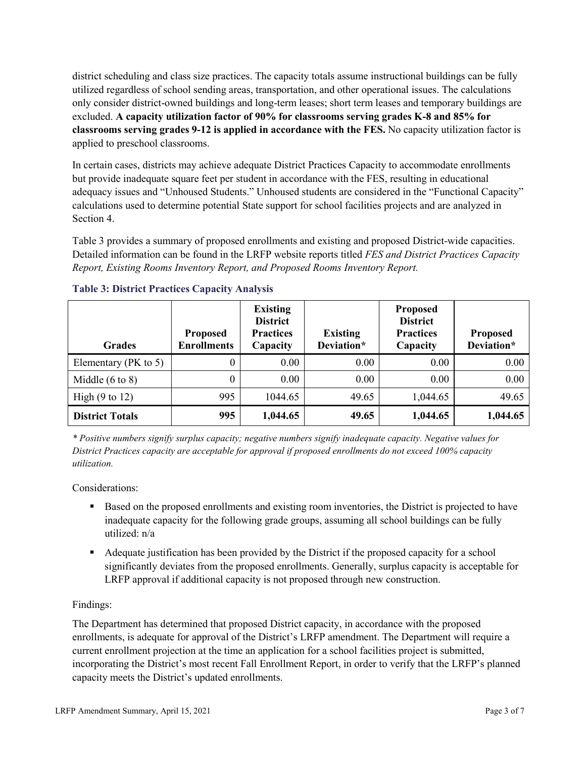district scheduling and class size practices. The capacity totals assume instructional buildings can be fully utilized regardless of school sending areas, transportation, and other operational issues. The calculations only consider district-owned buildings and long-term leases; short term leases and temporary buildings are excluded. **A capacity utilization factor of 90% for classrooms serving grades K-8 and 85% for classrooms serving grades 9-12 is applied in accordance with the FES.** No capacity utilization factor is applied to preschool classrooms.

In certain cases, districts may achieve adequate District Practices Capacity to accommodate enrollments but provide inadequate square feet per student in accordance with the FES, resulting in educational adequacy issues and "Unhoused Students." Unhoused students are considered in the "Functional Capacity" calculations used to determine potential State support for school facilities projects and are analyzed in Section 4.

Table 3 provides a summary of proposed enrollments and existing and proposed District-wide capacities. Detailed information can be found in the LRFP website reports titled *FES and District Practices Capacity Report, Existing Rooms Inventory Report, and Proposed Rooms Inventory Report.*

| <b>Grades</b>              | <b>Proposed</b><br><b>Enrollments</b> | <b>Existing</b><br><b>District</b><br><b>Practices</b><br>Capacity | <b>Existing</b><br>Deviation* | <b>Proposed</b><br><b>District</b><br><b>Practices</b><br>Capacity | <b>Proposed</b><br>Deviation* |
|----------------------------|---------------------------------------|--------------------------------------------------------------------|-------------------------------|--------------------------------------------------------------------|-------------------------------|
| Elementary ( $PK$ to 5)    | 0                                     | 0.00                                                               | 0.00                          | 0.00                                                               | 0.00                          |
| Middle $(6 \text{ to } 8)$ | 0                                     | 0.00                                                               | 0.00                          | 0.00                                                               | 0.00                          |
| High $(9 \text{ to } 12)$  | 995                                   | 1044.65                                                            | 49.65                         | 1,044.65                                                           | 49.65                         |
| <b>District Totals</b>     | 995                                   | 1,044.65                                                           | 49.65                         | 1,044.65                                                           | 1,044.65                      |

# **Table 3: District Practices Capacity Analysis**

*\* Positive numbers signify surplus capacity; negative numbers signify inadequate capacity. Negative values for District Practices capacity are acceptable for approval if proposed enrollments do not exceed 100% capacity utilization.*

Considerations:

- Based on the proposed enrollments and existing room inventories, the District is projected to have inadequate capacity for the following grade groups, assuming all school buildings can be fully utilized: n/a
- Adequate justification has been provided by the District if the proposed capacity for a school significantly deviates from the proposed enrollments. Generally, surplus capacity is acceptable for LRFP approval if additional capacity is not proposed through new construction.

# Findings:

The Department has determined that proposed District capacity, in accordance with the proposed enrollments, is adequate for approval of the District's LRFP amendment. The Department will require a current enrollment projection at the time an application for a school facilities project is submitted, incorporating the District's most recent Fall Enrollment Report, in order to verify that the LRFP's planned capacity meets the District's updated enrollments.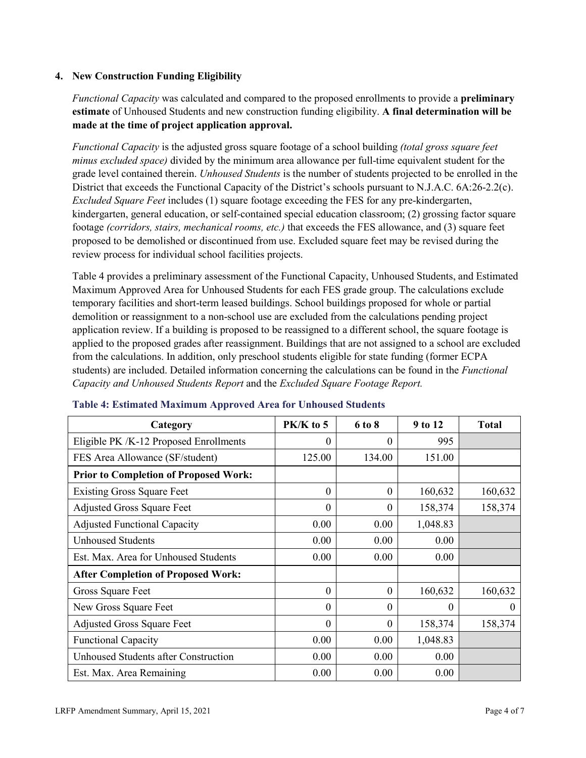## **4. New Construction Funding Eligibility**

*Functional Capacity* was calculated and compared to the proposed enrollments to provide a **preliminary estimate** of Unhoused Students and new construction funding eligibility. **A final determination will be made at the time of project application approval.**

*Functional Capacity* is the adjusted gross square footage of a school building *(total gross square feet minus excluded space)* divided by the minimum area allowance per full-time equivalent student for the grade level contained therein. *Unhoused Students* is the number of students projected to be enrolled in the District that exceeds the Functional Capacity of the District's schools pursuant to N.J.A.C. 6A:26-2.2(c). *Excluded Square Feet* includes (1) square footage exceeding the FES for any pre-kindergarten, kindergarten, general education, or self-contained special education classroom; (2) grossing factor square footage *(corridors, stairs, mechanical rooms, etc.)* that exceeds the FES allowance, and (3) square feet proposed to be demolished or discontinued from use. Excluded square feet may be revised during the review process for individual school facilities projects.

Table 4 provides a preliminary assessment of the Functional Capacity, Unhoused Students, and Estimated Maximum Approved Area for Unhoused Students for each FES grade group. The calculations exclude temporary facilities and short-term leased buildings. School buildings proposed for whole or partial demolition or reassignment to a non-school use are excluded from the calculations pending project application review. If a building is proposed to be reassigned to a different school, the square footage is applied to the proposed grades after reassignment. Buildings that are not assigned to a school are excluded from the calculations. In addition, only preschool students eligible for state funding (former ECPA students) are included. Detailed information concerning the calculations can be found in the *Functional Capacity and Unhoused Students Report* and the *Excluded Square Footage Report.*

| Category                                     | PK/K to 5 | 6 to 8   | 9 to 12  | <b>Total</b> |
|----------------------------------------------|-----------|----------|----------|--------------|
| Eligible PK /K-12 Proposed Enrollments       | 0         | 0        | 995      |              |
| FES Area Allowance (SF/student)              | 125.00    | 134.00   | 151.00   |              |
| <b>Prior to Completion of Proposed Work:</b> |           |          |          |              |
| <b>Existing Gross Square Feet</b>            | $\theta$  | $\theta$ | 160,632  | 160,632      |
| <b>Adjusted Gross Square Feet</b>            | 0         | $\theta$ | 158,374  | 158,374      |
| <b>Adjusted Functional Capacity</b>          | 0.00      | 0.00     | 1,048.83 |              |
| <b>Unhoused Students</b>                     | 0.00      | 0.00     | 0.00     |              |
| Est. Max. Area for Unhoused Students         | 0.00      | 0.00     | 0.00     |              |
| <b>After Completion of Proposed Work:</b>    |           |          |          |              |
| Gross Square Feet                            | $\theta$  | $\theta$ | 160,632  | 160,632      |
| New Gross Square Feet                        | $\theta$  | $\Omega$ | 0        | $\Omega$     |
| <b>Adjusted Gross Square Feet</b>            | $\Omega$  | $\Omega$ | 158,374  | 158,374      |
| <b>Functional Capacity</b>                   | 0.00      | 0.00     | 1,048.83 |              |
| <b>Unhoused Students after Construction</b>  | 0.00      | 0.00     | 0.00     |              |
| Est. Max. Area Remaining                     | 0.00      | 0.00     | 0.00     |              |

#### **Table 4: Estimated Maximum Approved Area for Unhoused Students**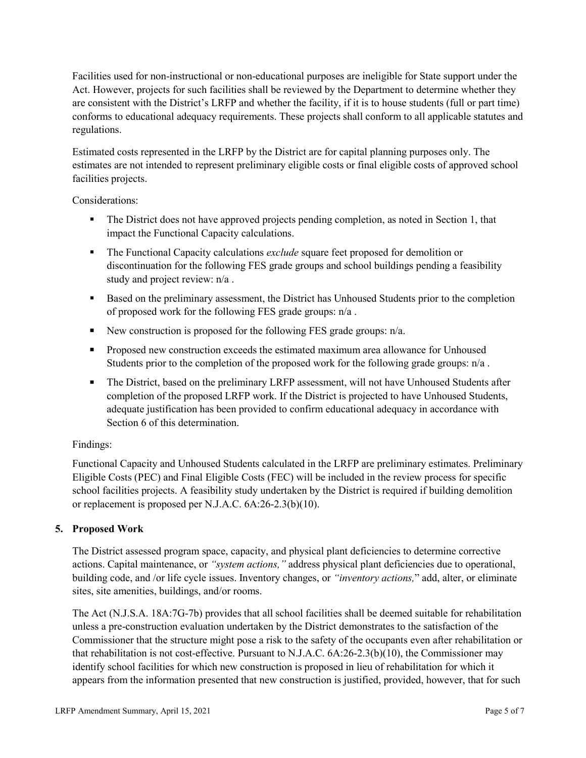Facilities used for non-instructional or non-educational purposes are ineligible for State support under the Act. However, projects for such facilities shall be reviewed by the Department to determine whether they are consistent with the District's LRFP and whether the facility, if it is to house students (full or part time) conforms to educational adequacy requirements. These projects shall conform to all applicable statutes and regulations.

Estimated costs represented in the LRFP by the District are for capital planning purposes only. The estimates are not intended to represent preliminary eligible costs or final eligible costs of approved school facilities projects.

Considerations:

- The District does not have approved projects pending completion, as noted in Section 1, that impact the Functional Capacity calculations.
- **The Functional Capacity calculations** *exclude* square feet proposed for demolition or discontinuation for the following FES grade groups and school buildings pending a feasibility study and project review: n/a .
- Based on the preliminary assessment, the District has Unhoused Students prior to the completion of proposed work for the following FES grade groups: n/a .
- New construction is proposed for the following FES grade groups: n/a.
- Proposed new construction exceeds the estimated maximum area allowance for Unhoused Students prior to the completion of the proposed work for the following grade groups: n/a.
- The District, based on the preliminary LRFP assessment, will not have Unhoused Students after completion of the proposed LRFP work. If the District is projected to have Unhoused Students, adequate justification has been provided to confirm educational adequacy in accordance with Section 6 of this determination.

# Findings:

Functional Capacity and Unhoused Students calculated in the LRFP are preliminary estimates. Preliminary Eligible Costs (PEC) and Final Eligible Costs (FEC) will be included in the review process for specific school facilities projects. A feasibility study undertaken by the District is required if building demolition or replacement is proposed per N.J.A.C. 6A:26-2.3(b)(10).

# **5. Proposed Work**

The District assessed program space, capacity, and physical plant deficiencies to determine corrective actions. Capital maintenance, or *"system actions,"* address physical plant deficiencies due to operational, building code, and /or life cycle issues. Inventory changes, or *"inventory actions,*" add, alter, or eliminate sites, site amenities, buildings, and/or rooms.

The Act (N.J.S.A. 18A:7G-7b) provides that all school facilities shall be deemed suitable for rehabilitation unless a pre-construction evaluation undertaken by the District demonstrates to the satisfaction of the Commissioner that the structure might pose a risk to the safety of the occupants even after rehabilitation or that rehabilitation is not cost-effective. Pursuant to N.J.A.C. 6A:26-2.3(b)(10), the Commissioner may identify school facilities for which new construction is proposed in lieu of rehabilitation for which it appears from the information presented that new construction is justified, provided, however, that for such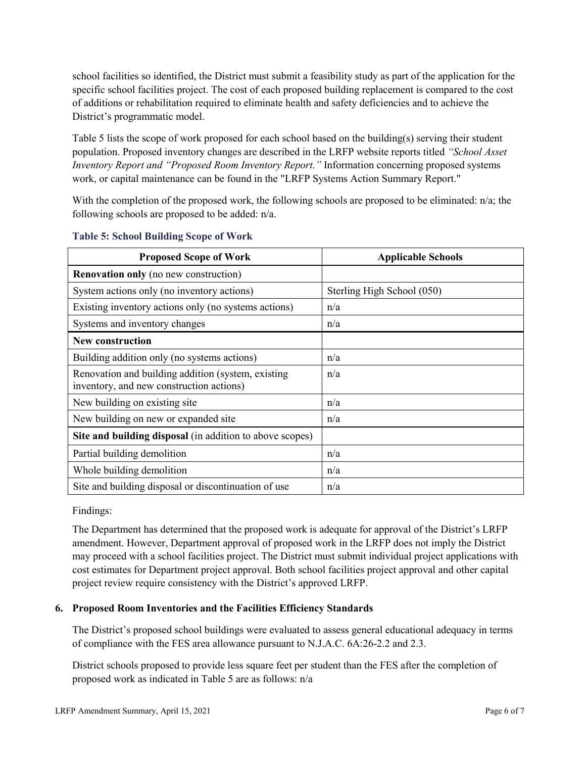school facilities so identified, the District must submit a feasibility study as part of the application for the specific school facilities project. The cost of each proposed building replacement is compared to the cost of additions or rehabilitation required to eliminate health and safety deficiencies and to achieve the District's programmatic model.

Table 5 lists the scope of work proposed for each school based on the building(s) serving their student population. Proposed inventory changes are described in the LRFP website reports titled *"School Asset Inventory Report and "Proposed Room Inventory Report."* Information concerning proposed systems work, or capital maintenance can be found in the "LRFP Systems Action Summary Report."

With the completion of the proposed work, the following schools are proposed to be eliminated: n/a; the following schools are proposed to be added: n/a.

| <b>Proposed Scope of Work</b>                                                                  | <b>Applicable Schools</b>  |
|------------------------------------------------------------------------------------------------|----------------------------|
| <b>Renovation only</b> (no new construction)                                                   |                            |
| System actions only (no inventory actions)                                                     | Sterling High School (050) |
| Existing inventory actions only (no systems actions)                                           | n/a                        |
| Systems and inventory changes                                                                  | n/a                        |
| <b>New construction</b>                                                                        |                            |
| Building addition only (no systems actions)                                                    | n/a                        |
| Renovation and building addition (system, existing<br>inventory, and new construction actions) | n/a                        |
| New building on existing site                                                                  | n/a                        |
| New building on new or expanded site                                                           | n/a                        |
| Site and building disposal (in addition to above scopes)                                       |                            |
| Partial building demolition                                                                    | n/a                        |
| Whole building demolition                                                                      | n/a                        |
| Site and building disposal or discontinuation of use                                           | n/a                        |

#### **Table 5: School Building Scope of Work**

Findings:

The Department has determined that the proposed work is adequate for approval of the District's LRFP amendment. However, Department approval of proposed work in the LRFP does not imply the District may proceed with a school facilities project. The District must submit individual project applications with cost estimates for Department project approval. Both school facilities project approval and other capital project review require consistency with the District's approved LRFP.

# **6. Proposed Room Inventories and the Facilities Efficiency Standards**

The District's proposed school buildings were evaluated to assess general educational adequacy in terms of compliance with the FES area allowance pursuant to N.J.A.C. 6A:26-2.2 and 2.3.

District schools proposed to provide less square feet per student than the FES after the completion of proposed work as indicated in Table 5 are as follows: n/a